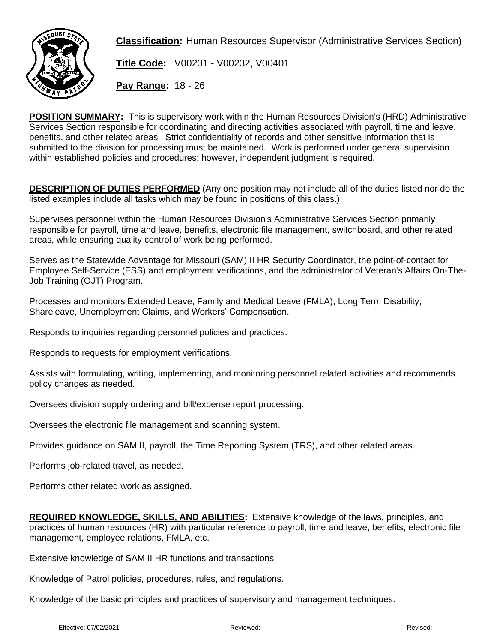

**Classification:** Human Resources Supervisor (Administrative Services Section)

**Title Code:** V00231 - V00232, V00401

**Pay Range:** 18 - 26

**POSITION SUMMARY:** This is supervisory work within the Human Resources Division's (HRD) Administrative Services Section responsible for coordinating and directing activities associated with payroll, time and leave, benefits, and other related areas. Strict confidentiality of records and other sensitive information that is submitted to the division for processing must be maintained. Work is performed under general supervision within established policies and procedures; however, independent judgment is required.

**DESCRIPTION OF DUTIES PERFORMED** (Any one position may not include all of the duties listed nor do the listed examples include all tasks which may be found in positions of this class.):

Supervises personnel within the Human Resources Division's Administrative Services Section primarily responsible for payroll, time and leave, benefits, electronic file management, switchboard, and other related areas, while ensuring quality control of work being performed.

Serves as the Statewide Advantage for Missouri (SAM) II HR Security Coordinator, the point-of-contact for Employee Self-Service (ESS) and employment verifications, and the administrator of Veteran's Affairs On-The-Job Training (OJT) Program.

Processes and monitors Extended Leave, Family and Medical Leave (FMLA), Long Term Disability, Shareleave, Unemployment Claims, and Workers' Compensation.

Responds to inquiries regarding personnel policies and practices.

Responds to requests for employment verifications.

Assists with formulating, writing, implementing, and monitoring personnel related activities and recommends policy changes as needed.

Oversees division supply ordering and bill/expense report processing.

Oversees the electronic file management and scanning system.

Provides guidance on SAM II, payroll, the Time Reporting System (TRS), and other related areas.

Performs job-related travel, as needed.

Performs other related work as assigned.

**REQUIRED KNOWLEDGE, SKILLS, AND ABILITIES:** Extensive knowledge of the laws, principles, and practices of human resources (HR) with particular reference to payroll, time and leave, benefits, electronic file management, employee relations, FMLA, etc.

Extensive knowledge of SAM II HR functions and transactions.

Knowledge of Patrol policies, procedures, rules, and regulations.

Knowledge of the basic principles and practices of supervisory and management techniques.